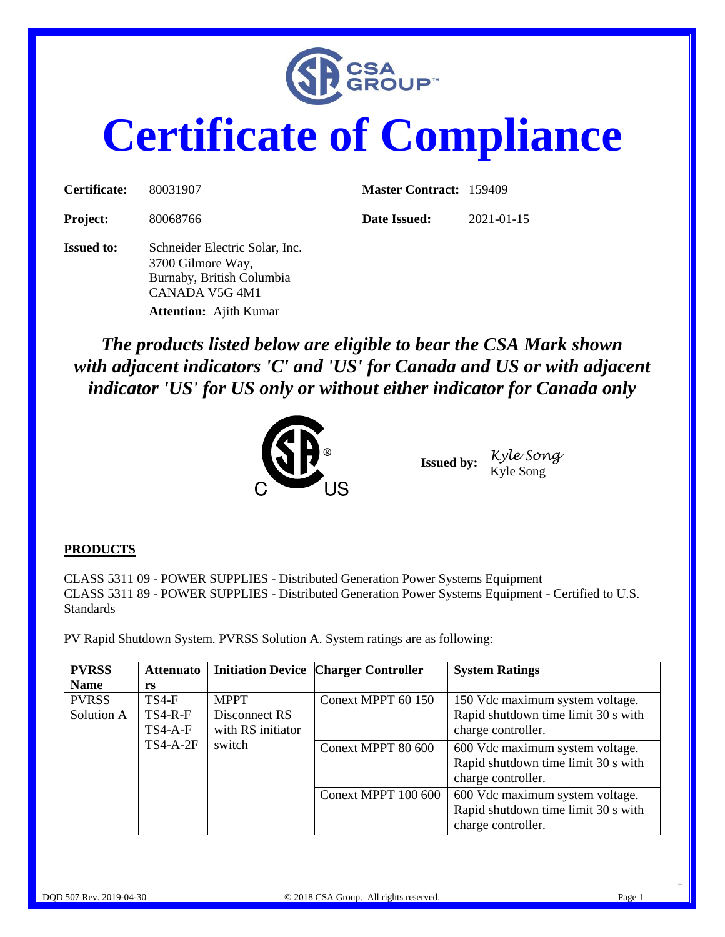

# **Certificate of Compliance**

| Certificate:      | 80031907                                                                                           | <b>Master Contract: 159409</b> |            |  |  |  |
|-------------------|----------------------------------------------------------------------------------------------------|--------------------------------|------------|--|--|--|
| <b>Project:</b>   | 80068766                                                                                           | Date Issued:                   | 2021-01-15 |  |  |  |
| <b>Issued to:</b> | Schneider Electric Solar, Inc.<br>3700 Gilmore Way,<br>Burnaby, British Columbia<br>CANADA V5G 4M1 |                                |            |  |  |  |
|                   | <b>Attention:</b> Ajith Kumar                                                                      |                                |            |  |  |  |

*The products listed below are eligible to bear the CSA Mark shown with adjacent indicators 'C' and 'US' for Canada and US or with adjacent indicator 'US' for US only or without either indicator for Canada only* 



**Issued by:** *Kyle Song* Kyle Song

#### **PRODUCTS**

CLASS 5311 09 - POWER SUPPLIES - Distributed Generation Power Systems Equipment CLASS 5311 89 - POWER SUPPLIES - Distributed Generation Power Systems Equipment - Certified to U.S. Standards

PV Rapid Shutdown System. PVRSS Solution A. System ratings are as following:

| <b>PVRSS</b>               | <b>Attenuato</b>              |                                                             | <b>Initiation Device Charger Controller</b> | <b>System Ratings</b>                                                                        |
|----------------------------|-------------------------------|-------------------------------------------------------------|---------------------------------------------|----------------------------------------------------------------------------------------------|
| <b>Name</b>                | rs                            |                                                             |                                             |                                                                                              |
| <b>PVRSS</b><br>Solution A | TS4-F<br>TS4-R-F<br>$TS4-A-F$ | <b>MPPT</b><br>Disconnect RS<br>with RS initiator<br>switch | Conext MPPT 60 150                          | 150 Vdc maximum system voltage.<br>Rapid shutdown time limit 30 s with<br>charge controller. |
|                            | $TS4-A-2F$                    |                                                             | Conext MPPT 80 600                          | 600 Vdc maximum system voltage.<br>Rapid shutdown time limit 30 s with<br>charge controller. |
|                            |                               |                                                             | Conext MPPT 100 600                         | 600 Vdc maximum system voltage.<br>Rapid shutdown time limit 30 s with<br>charge controller. |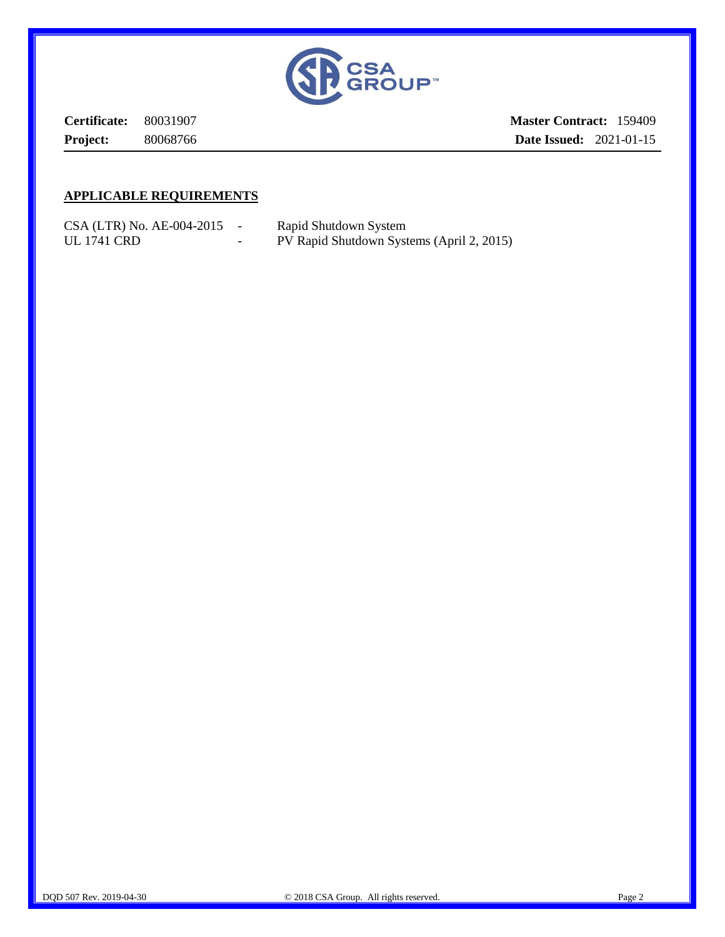

**Certificate:** 80031907 **Project:** 80068766 **Master Contract:** 159409 **Date Issued:** 2021-01-15

#### **APPLICABLE REQUIREMENTS**

CSA (LTR) No. AE-004-2015 - Rapid Shutdown System

UL 1741 CRD - PV Rapid Shutdown Systems (April 2, 2015)